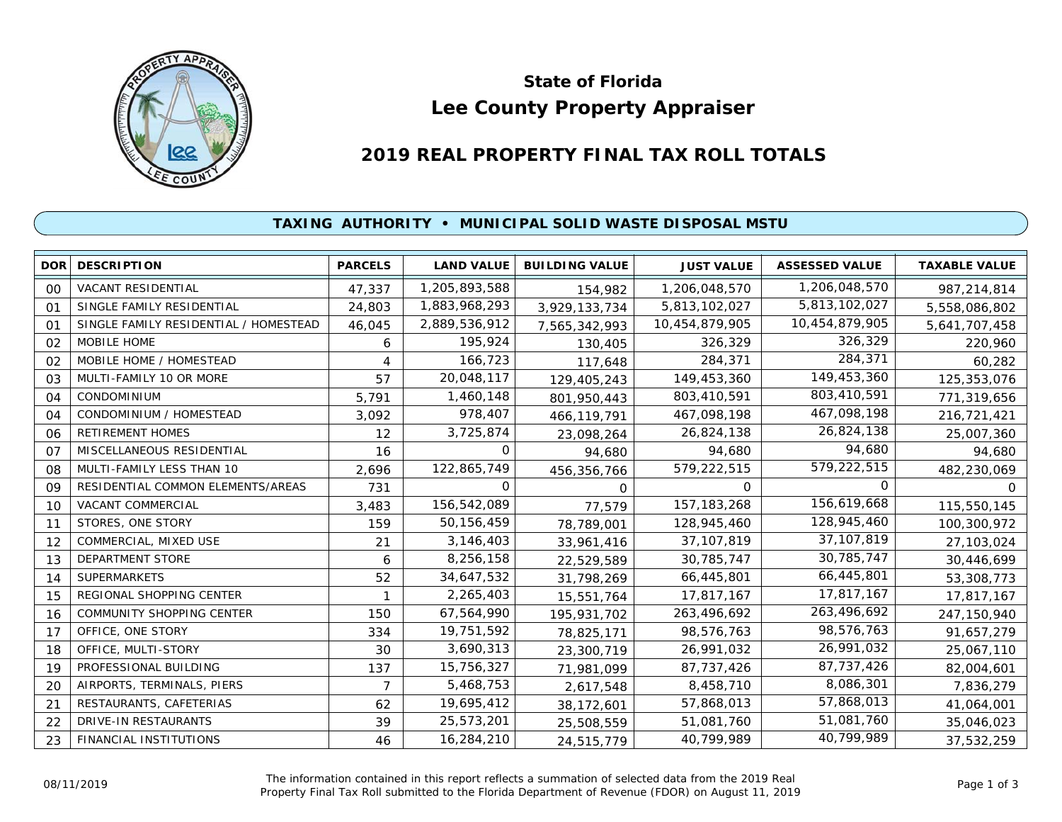

# **Lee County Property Appraiser State of Florida**

# **2019 REAL PROPERTY FINAL TAX ROLL TOTALS**

## **TAXING AUTHORITY • MUNICIPAL SOLID WASTE DISPOSAL MSTU**

| <b>DOR</b> | <b>DESCRIPTION</b>                    | <b>PARCELS</b> | <b>LAND VALUE</b> | <b>BUILDING VALUE</b> | <b>JUST VALUE</b> | <b>ASSESSED VALUE</b> | <b>TAXABLE VALUE</b> |
|------------|---------------------------------------|----------------|-------------------|-----------------------|-------------------|-----------------------|----------------------|
| 00         | VACANT RESIDENTIAL                    | 47,337         | 1,205,893,588     | 154,982               | 1,206,048,570     | 1,206,048,570         | 987,214,814          |
| 01         | SINGLE FAMILY RESIDENTIAL             | 24,803         | 1,883,968,293     | 3,929,133,734         | 5,813,102,027     | 5,813,102,027         | 5,558,086,802        |
| 01         | SINGLE FAMILY RESIDENTIAL / HOMESTEAD | 46,045         | 2,889,536,912     | 7,565,342,993         | 10,454,879,905    | 10,454,879,905        | 5,641,707,458        |
| 02         | MOBILE HOME                           | 6              | 195,924           | 130,405               | 326,329           | 326,329               | 220,960              |
| 02         | MOBILE HOME / HOMESTEAD               | 4              | 166,723           | 117,648               | 284,371           | 284,371               | 60,282               |
| 03         | MULTI-FAMILY 10 OR MORE               | 57             | 20,048,117        | 129,405,243           | 149,453,360       | 149,453,360           | 125,353,076          |
| 04         | CONDOMINIUM                           | 5,791          | 1,460,148         | 801,950,443           | 803,410,591       | 803,410,591           | 771,319,656          |
| 04         | CONDOMINIUM / HOMESTEAD               | 3,092          | 978,407           | 466,119,791           | 467,098,198       | 467,098,198           | 216,721,421          |
| 06         | <b>RETIREMENT HOMES</b>               | 12             | 3,725,874         | 23,098,264            | 26,824,138        | 26,824,138            | 25,007,360           |
| 07         | MISCELLANEOUS RESIDENTIAL             | 16             | 0                 | 94,680                | 94,680            | 94,680                | 94,680               |
| 08         | MULTI-FAMILY LESS THAN 10             | 2,696          | 122,865,749       | 456,356,766           | 579,222,515       | 579,222,515           | 482,230,069          |
| 09         | RESIDENTIAL COMMON ELEMENTS/AREAS     | 731            | 0                 | $\Omega$              | 0                 | $\Omega$              | 0                    |
| 10         | VACANT COMMERCIAL                     | 3,483          | 156,542,089       | 77,579                | 157, 183, 268     | 156,619,668           | 115,550,145          |
| 11         | STORES, ONE STORY                     | 159            | 50, 156, 459      | 78,789,001            | 128,945,460       | 128,945,460           | 100,300,972          |
| 12         | COMMERCIAL, MIXED USE                 | 21             | 3,146,403         | 33,961,416            | 37, 107, 819      | 37,107,819            | 27,103,024           |
| 13         | <b>DEPARTMENT STORE</b>               | 6              | 8,256,158         | 22,529,589            | 30,785,747        | 30,785,747            | 30,446,699           |
| 14         | <b>SUPERMARKETS</b>                   | 52             | 34,647,532        | 31,798,269            | 66,445,801        | 66,445,801            | 53,308,773           |
| 15         | REGIONAL SHOPPING CENTER              |                | 2,265,403         | 15,551,764            | 17,817,167        | 17,817,167            | 17,817,167           |
| 16         | <b>COMMUNITY SHOPPING CENTER</b>      | 150            | 67,564,990        | 195,931,702           | 263,496,692       | 263,496,692           | 247,150,940          |
| 17         | OFFICE, ONE STORY                     | 334            | 19,751,592        | 78,825,171            | 98,576,763        | 98,576,763            | 91,657,279           |
| 18         | OFFICE, MULTI-STORY                   | 30             | 3,690,313         | 23,300,719            | 26,991,032        | 26,991,032            | 25,067,110           |
| 19         | PROFESSIONAL BUILDING                 | 137            | 15,756,327        | 71,981,099            | 87,737,426        | 87,737,426            | 82,004,601           |
| 20         | AIRPORTS, TERMINALS, PIERS            | 7              | 5,468,753         | 2,617,548             | 8,458,710         | 8,086,301             | 7,836,279            |
| 21         | RESTAURANTS, CAFETERIAS               | 62             | 19,695,412        | 38,172,601            | 57,868,013        | 57,868,013            | 41,064,001           |
| 22         | DRIVE-IN RESTAURANTS                  | 39             | 25,573,201        | 25,508,559            | 51,081,760        | 51,081,760            | 35,046,023           |
| 23         | FINANCIAL INSTITUTIONS                | 46             | 16,284,210        | 24,515,779            | 40,799,989        | 40,799,989            | 37,532,259           |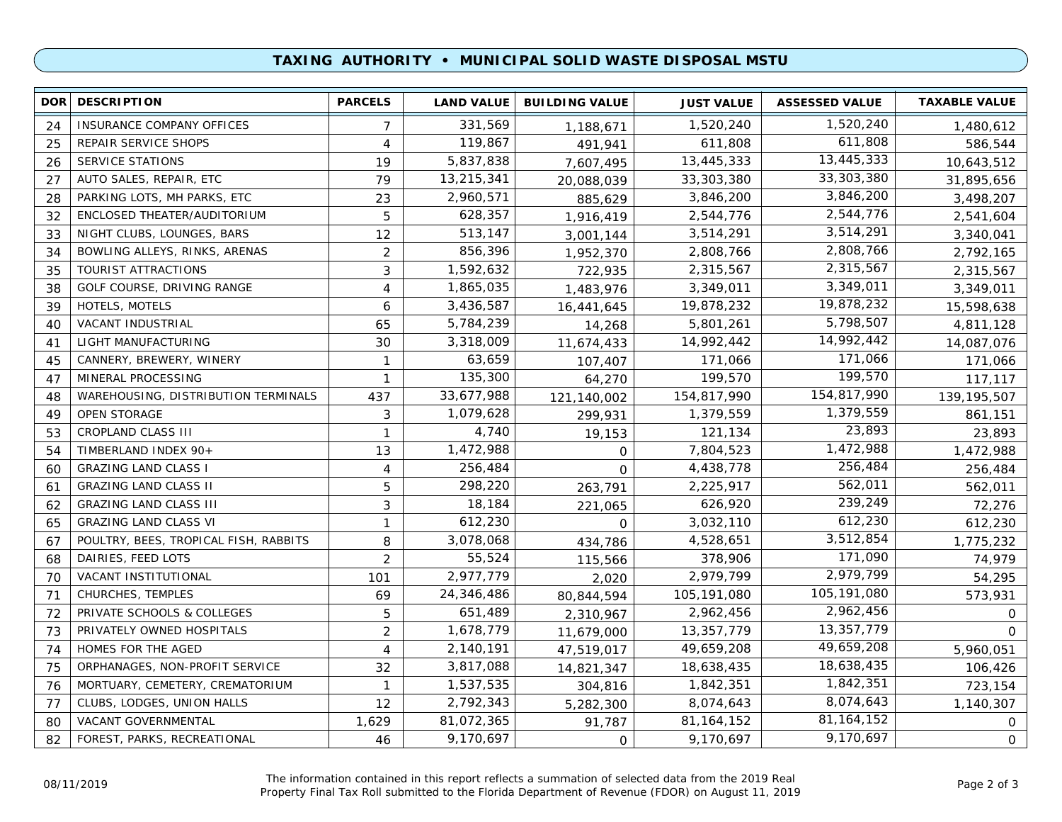### **TAXING AUTHORITY • MUNICIPAL SOLID WASTE DISPOSAL MSTU**

| DOR <sup>1</sup> | <b>DESCRIPTION</b>                    | <b>PARCELS</b> | <b>LAND VALUE</b> | <b>BUILDING VALUE</b> | <b>JUST VALUE</b> | <b>ASSESSED VALUE</b> | <b>TAXABLE VALUE</b> |
|------------------|---------------------------------------|----------------|-------------------|-----------------------|-------------------|-----------------------|----------------------|
| 24               | INSURANCE COMPANY OFFICES             | $\overline{7}$ | 331,569           | 1,188,671             | 1,520,240         | 1,520,240             | 1,480,612            |
| 25               | REPAIR SERVICE SHOPS                  | 4              | 119,867           | 491.941               | 611,808           | 611,808               | 586,544              |
| 26               | SERVICE STATIONS                      | 19             | 5,837,838         | 7,607,495             | 13,445,333        | 13,445,333            | 10,643,512           |
| 27               | AUTO SALES, REPAIR, ETC               | 79             | 13,215,341        | 20,088,039            | 33,303,380        | 33,303,380            | 31,895,656           |
| 28               | PARKING LOTS, MH PARKS, ETC           | 23             | 2,960,571         | 885,629               | 3,846,200         | 3,846,200             | 3,498,207            |
| 32               | ENCLOSED THEATER/AUDITORIUM           | 5              | 628,357           | 1,916,419             | 2,544,776         | 2,544,776             | 2,541,604            |
| 33               | NIGHT CLUBS, LOUNGES, BARS            | 12             | 513,147           | 3,001,144             | 3,514,291         | 3,514,291             | 3,340,041            |
| 34               | BOWLING ALLEYS, RINKS, ARENAS         | $\overline{2}$ | 856,396           | 1,952,370             | 2,808,766         | 2,808,766             | 2,792,165            |
| 35               | <b>TOURIST ATTRACTIONS</b>            | 3              | 1,592,632         | 722,935               | 2,315,567         | 2,315,567             | 2,315,567            |
| 38               | GOLF COURSE, DRIVING RANGE            | 4              | 1,865,035         | 1,483,976             | 3,349,011         | 3,349,011             | 3,349,011            |
| 39               | HOTELS, MOTELS                        | 6              | 3,436,587         | 16,441,645            | 19,878,232        | 19,878,232            | 15,598,638           |
| 40               | VACANT INDUSTRIAL                     | 65             | 5,784,239         | 14,268                | 5,801,261         | 5,798,507             | 4,811,128            |
| 41               | LIGHT MANUFACTURING                   | 30             | 3,318,009         | 11,674,433            | 14,992,442        | 14,992,442            | 14,087,076           |
| 45               | CANNERY, BREWERY, WINERY              | $\mathbf{1}$   | 63,659            | 107,407               | 171,066           | 171,066               | 171,066              |
| 47               | MINERAL PROCESSING                    | $\mathbf{1}$   | 135,300           | 64,270                | 199,570           | 199,570               | 117,117              |
| 48               | WAREHOUSING, DISTRIBUTION TERMINALS   | 437            | 33,677,988        | 121,140,002           | 154,817,990       | 154,817,990           | 139, 195, 507        |
| 49               | OPEN STORAGE                          | 3              | 1,079,628         | 299,931               | 1,379,559         | 1,379,559             | 861,151              |
| 53               | CROPLAND CLASS III                    | $\mathbf{1}$   | 4,740             | 19,153                | 121,134           | 23,893                | 23,893               |
| 54               | TIMBERLAND INDEX 90+                  | 13             | 1,472,988         | $\mathbf{O}$          | 7,804,523         | 1,472,988             | 1,472,988            |
| 60               | <b>GRAZING LAND CLASS I</b>           | 4              | 256,484           | $\mathbf 0$           | 4,438,778         | 256,484               | 256,484              |
| 61               | <b>GRAZING LAND CLASS II</b>          | 5              | 298,220           | 263,791               | 2,225,917         | 562,011               | 562,011              |
| 62               | <b>GRAZING LAND CLASS III</b>         | 3              | 18,184            | 221,065               | 626,920           | 239,249               | 72,276               |
| 65               | <b>GRAZING LAND CLASS VI</b>          | $\mathbf{1}$   | 612,230           | $\Omega$              | 3,032,110         | 612,230               | 612,230              |
| 67               | POULTRY, BEES, TROPICAL FISH, RABBITS | 8              | 3,078,068         | 434,786               | 4,528,651         | 3,512,854             | 1,775,232            |
| 68               | DAIRIES, FEED LOTS                    | 2              | 55,524            | 115,566               | 378,906           | 171,090               | 74,979               |
| 70               | VACANT INSTITUTIONAL                  | 101            | 2,977,779         | 2,020                 | 2,979,799         | 2,979,799             | 54,295               |
| 71               | CHURCHES, TEMPLES                     | 69             | 24,346,486        | 80,844,594            | 105, 191, 080     | 105,191,080           | 573,931              |
| 72               | PRIVATE SCHOOLS & COLLEGES            | 5              | 651,489           | 2,310,967             | 2,962,456         | 2,962,456             | $\mathsf{O}$         |
| 73               | PRIVATELY OWNED HOSPITALS             | $\overline{2}$ | 1,678,779         | 11,679,000            | 13,357,779        | 13,357,779            | $\Omega$             |
| 74               | HOMES FOR THE AGED                    | $\overline{4}$ | 2,140,191         | 47,519,017            | 49,659,208        | 49,659,208            | 5,960,051            |
| 75               | ORPHANAGES, NON-PROFIT SERVICE        | 32             | 3,817,088         | 14,821,347            | 18,638,435        | 18,638,435            | 106,426              |
| 76               | MORTUARY, CEMETERY, CREMATORIUM       | $\mathbf{1}$   | 1,537,535         | 304,816               | 1,842,351         | 1,842,351             | 723,154              |
| 77               | CLUBS, LODGES, UNION HALLS            | 12             | 2,792,343         | 5,282,300             | 8,074,643         | 8,074,643             | 1,140,307            |
| 80               | VACANT GOVERNMENTAL                   | 1,629          | 81,072,365        | 91,787                | 81, 164, 152      | 81, 164, 152          | 0                    |
| 82               | FOREST, PARKS, RECREATIONAL           | 46             | 9,170,697         | O                     | 9,170,697         | 9,170,697             | 0                    |